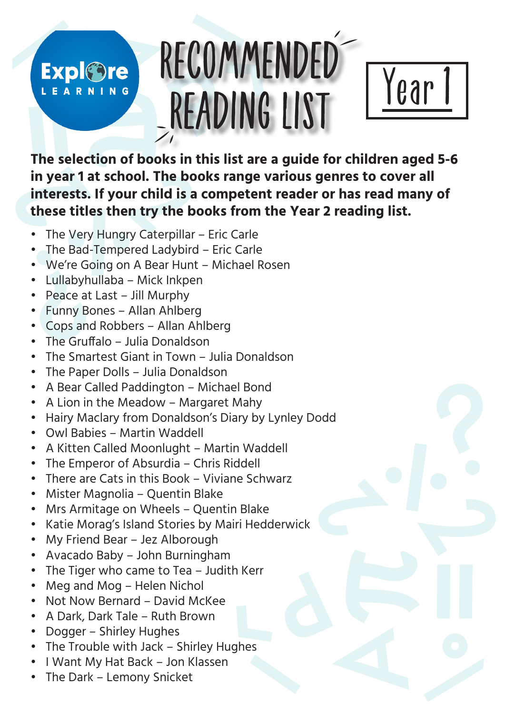## RECOMMENDED READING LIST LYear 1



**The selection of books in this list are a guide for children aged 5-6 in year 1 at school. The books range various genres to cover all interests. If your child is a competent reader or has read many of these titles then try the books from the Year 2 reading list.** 

- The Very Hungry Caterpillar Eric Carle
- The Bad-Tempered Ladybird Eric Carle
- We're Going on A Bear Hunt Michael Rosen
- Lullabyhullaba Mick Inkpen
- Peace at Last Jill Murphy

**Expl©re** 

LEARNING

- Funny Bones Allan Ahlberg
- Cops and Robbers Allan Ahlberg
- The Gruffalo Julia Donaldson
- The Smartest Giant in Town Julia Donaldson
- The Paper Dolls Julia Donaldson
- A Bear Called Paddington Michael Bond
- A Lion in the Meadow Margaret Mahy
- Hairy Maclary from Donaldson's Diary by Lynley Dodd
- Owl Babies Martin Waddell
- A Kitten Called Moonlught Martin Waddell
- The Emperor of Absurdia Chris Riddell
- There are Cats in this Book Viviane Schwarz
- Mister Magnolia Quentin Blake
- Mrs Armitage on Wheels Quentin Blake
- Katie Morag's Island Stories by Mairi Hedderwick
- My Friend Bear Jez Alborough
- Avacado Baby John Burningham
- The Tiger who came to Tea Judith Kerr
- Meg and Mog Helen Nichol
- Not Now Bernard David McKee
- A Dark, Dark Tale Ruth Brown
- Dogger Shirley Hughes
- The Trouble with Jack Shirley Hughes
- I Want My Hat Back Jon Klassen
- The Dark Lemony Snicket